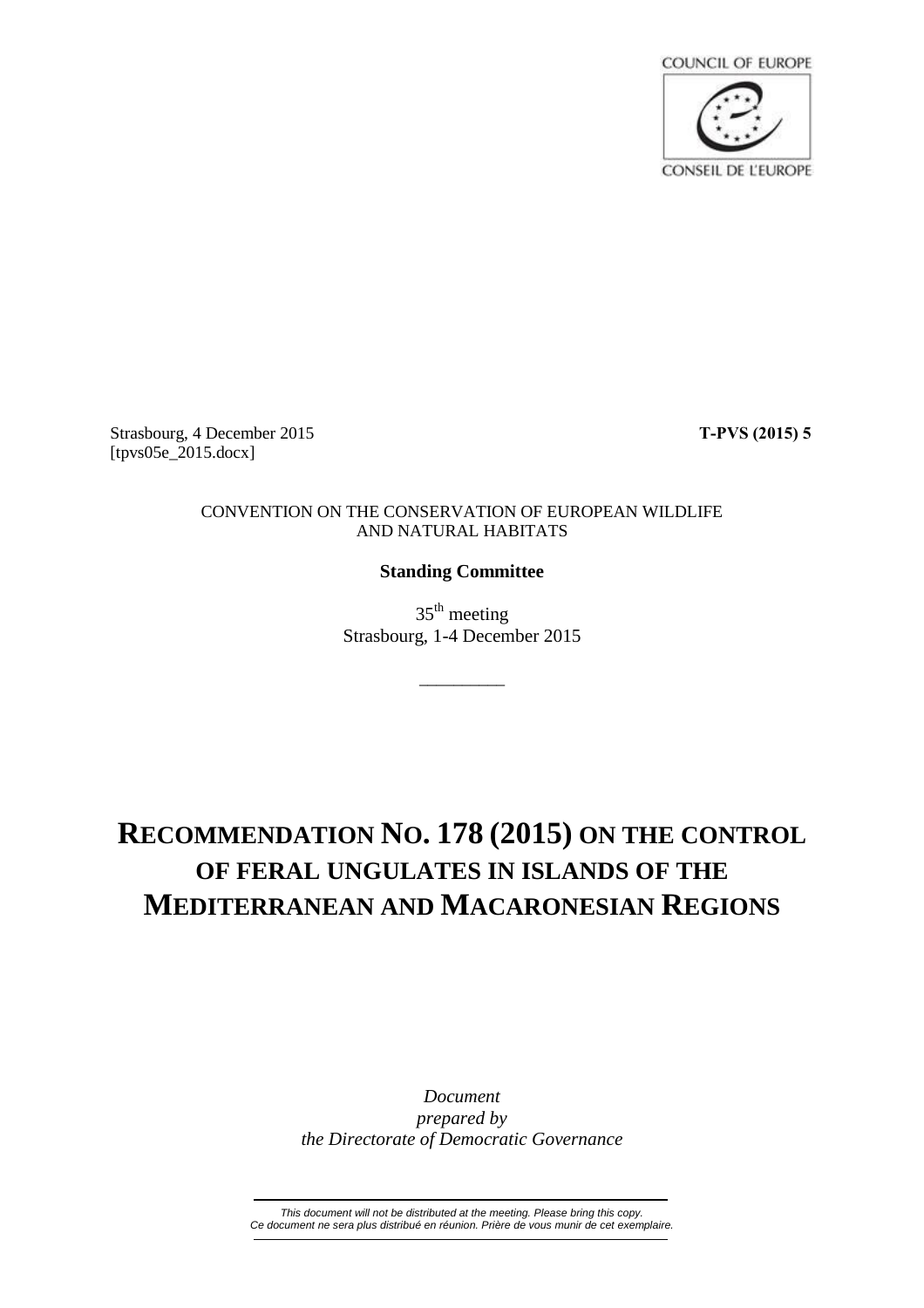

Strasbourg, 4 December 2015 **T-PVS (2015) 5** [tpvs05e\_2015.docx]

## CONVENTION ON THE CONSERVATION OF EUROPEAN WILDLIFE AND NATURAL HABITATS

## **Standing Committee**

35<sup>th</sup> meeting Strasbourg, 1-4 December 2015

\_\_\_\_\_\_\_\_\_\_

## **RECOMMENDATION NO. 178 (2015) ON THE CONTROL OF FERAL UNGULATES IN ISLANDS OF THE MEDITERRANEAN AND MACARONESIAN REGIONS**

*Document prepared by the Directorate of Democratic Governance*

*This document will not be distributed at the meeting. Please bring this copy. Ce document ne sera plus distribué en réunion. Prière de vous munir de cet exemplaire.*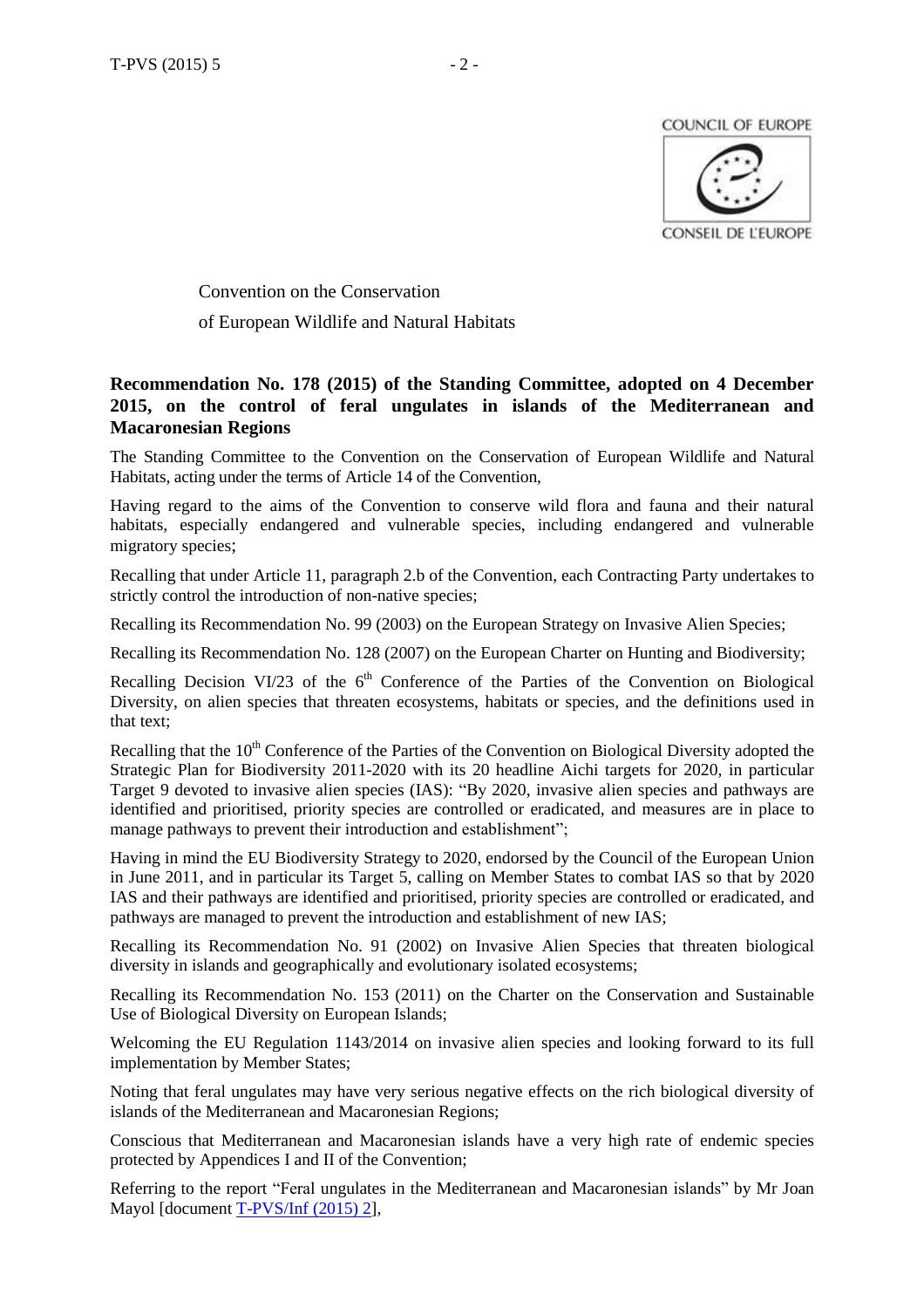

Convention on the Conservation of European Wildlife and Natural Habitats

## **Recommendation No. 178 (2015) of the Standing Committee, adopted on 4 December 2015, on the control of feral ungulates in islands of the Mediterranean and Macaronesian Regions**

The Standing Committee to the Convention on the Conservation of European Wildlife and Natural Habitats, acting under the terms of Article 14 of the Convention,

Having regard to the aims of the Convention to conserve wild flora and fauna and their natural habitats, especially endangered and vulnerable species, including endangered and vulnerable migratory species;

Recalling that under Article 11, paragraph 2.b of the Convention, each Contracting Party undertakes to strictly control the introduction of non-native species;

Recalling its Recommendation No. 99 (2003) on the European Strategy on Invasive Alien Species;

Recalling its Recommendation No. 128 (2007) on the European Charter on Hunting and Biodiversity;

Recalling Decision VI/23 of the  $6<sup>th</sup>$  Conference of the Parties of the Convention on Biological Diversity, on alien species that threaten ecosystems, habitats or species, and the definitions used in that text;

Recalling that the  $10<sup>th</sup>$  Conference of the Parties of the Convention on Biological Diversity adopted the Strategic Plan for Biodiversity 2011-2020 with its 20 headline Aichi targets for 2020, in particular Target 9 devoted to invasive alien species (IAS): "By 2020, invasive alien species and pathways are identified and prioritised, priority species are controlled or eradicated, and measures are in place to manage pathways to prevent their introduction and establishment";

Having in mind the EU Biodiversity Strategy to 2020, endorsed by the Council of the European Union in June 2011, and in particular its Target 5, calling on Member States to combat IAS so that by 2020 IAS and their pathways are identified and prioritised, priority species are controlled or eradicated, and pathways are managed to prevent the introduction and establishment of new IAS;

Recalling its Recommendation No. 91 (2002) on Invasive Alien Species that threaten biological diversity in islands and geographically and evolutionary isolated ecosystems;

Recalling its Recommendation No. 153 (2011) on the Charter on the Conservation and Sustainable Use of Biological Diversity on European Islands;

Welcoming the EU Regulation 1143/2014 on invasive alien species and looking forward to its full implementation by Member States;

Noting that feral ungulates may have very serious negative effects on the rich biological diversity of islands of the Mediterranean and Macaronesian Regions;

Conscious that Mediterranean and Macaronesian islands have a very high rate of endemic species protected by Appendices I and II of the Convention;

Referring to the report "Feral ungulates in the Mediterranean and Macaronesian islands" by Mr Joan Mayol [document [T-PVS/Inf](https://wcd.coe.int/ViewDoc.jsp?id=2311433&Site=&BackColorInternet=B9BDEE&BackColorIntranet=FFCD4F&BackColorLogged=FFC679) (2015) 2],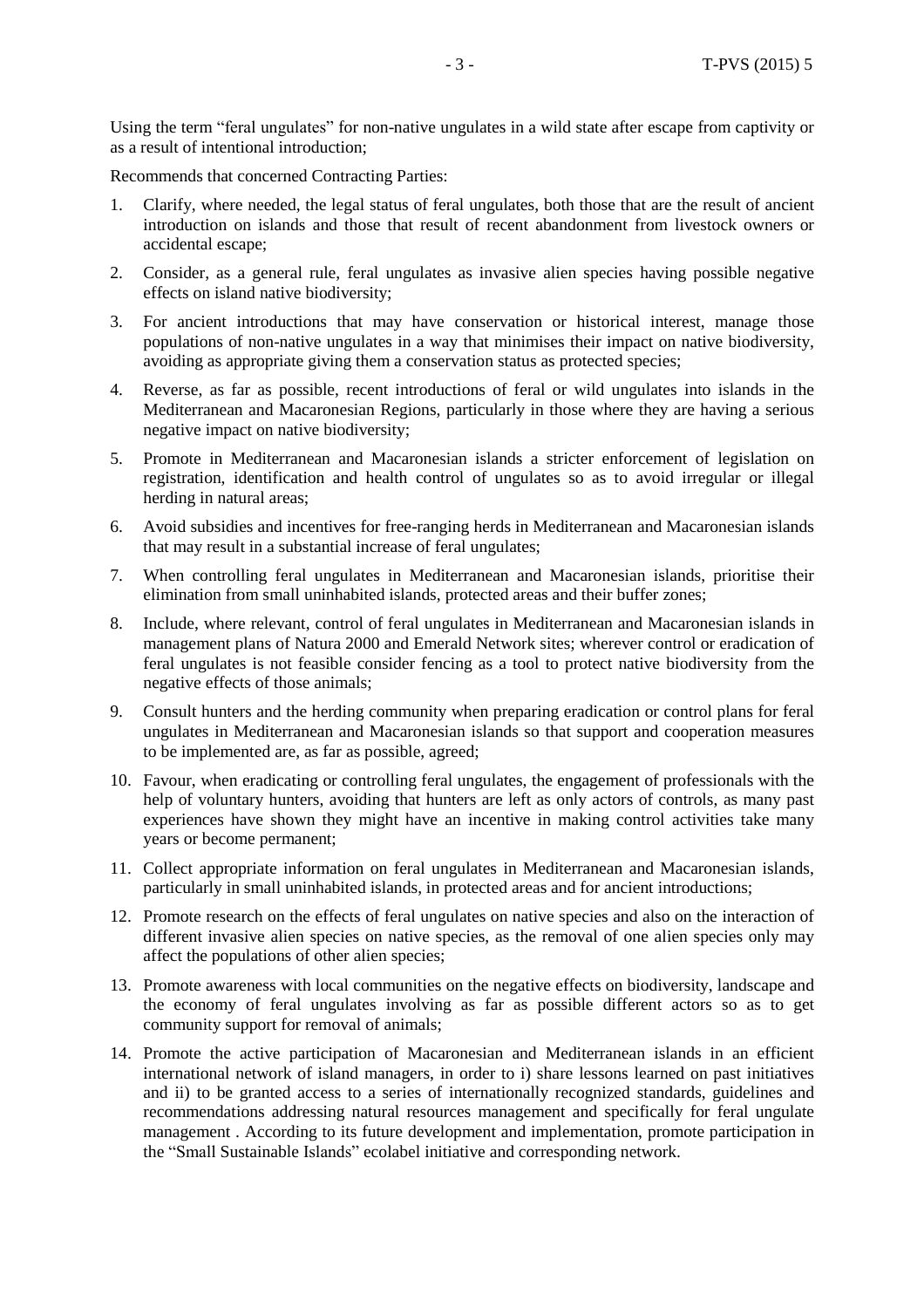Using the term "feral ungulates" for non-native ungulates in a wild state after escape from captivity or as a result of intentional introduction;

Recommends that concerned Contracting Parties:

- 1. Clarify, where needed, the legal status of feral ungulates, both those that are the result of ancient introduction on islands and those that result of recent abandonment from livestock owners or accidental escape;
- 2. Consider, as a general rule, feral ungulates as invasive alien species having possible negative effects on island native biodiversity;
- 3. For ancient introductions that may have conservation or historical interest, manage those populations of non-native ungulates in a way that minimises their impact on native biodiversity, avoiding as appropriate giving them a conservation status as protected species;
- 4. Reverse, as far as possible, recent introductions of feral or wild ungulates into islands in the Mediterranean and Macaronesian Regions, particularly in those where they are having a serious negative impact on native biodiversity;
- 5. Promote in Mediterranean and Macaronesian islands a stricter enforcement of legislation on registration, identification and health control of ungulates so as to avoid irregular or illegal herding in natural areas;
- 6. Avoid subsidies and incentives for free-ranging herds in Mediterranean and Macaronesian islands that may result in a substantial increase of feral ungulates;
- 7. When controlling feral ungulates in Mediterranean and Macaronesian islands, prioritise their elimination from small uninhabited islands, protected areas and their buffer zones;
- 8. Include, where relevant, control of feral ungulates in Mediterranean and Macaronesian islands in management plans of Natura 2000 and Emerald Network sites; wherever control or eradication of feral ungulates is not feasible consider fencing as a tool to protect native biodiversity from the negative effects of those animals;
- 9. Consult hunters and the herding community when preparing eradication or control plans for feral ungulates in Mediterranean and Macaronesian islands so that support and cooperation measures to be implemented are, as far as possible, agreed;
- 10. Favour, when eradicating or controlling feral ungulates, the engagement of professionals with the help of voluntary hunters, avoiding that hunters are left as only actors of controls, as many past experiences have shown they might have an incentive in making control activities take many years or become permanent;
- 11. Collect appropriate information on feral ungulates in Mediterranean and Macaronesian islands, particularly in small uninhabited islands, in protected areas and for ancient introductions;
- 12. Promote research on the effects of feral ungulates on native species and also on the interaction of different invasive alien species on native species, as the removal of one alien species only may affect the populations of other alien species;
- 13. Promote awareness with local communities on the negative effects on biodiversity, landscape and the economy of feral ungulates involving as far as possible different actors so as to get community support for removal of animals;
- 14. Promote the active participation of Macaronesian and Mediterranean islands in an efficient international network of island managers, in order to i) share lessons learned on past initiatives and ii) to be granted access to a series of internationally recognized standards, guidelines and recommendations addressing natural resources management and specifically for feral ungulate management . According to its future development and implementation, promote participation in the "Small Sustainable Islands" ecolabel initiative and corresponding network.